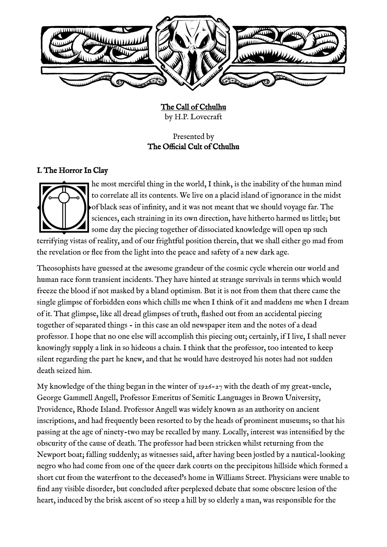

The Call of Cthulhu by H.P. Lovecraft

Presented by The Official Cult of Cthulhu

## I. The Horror In Clay



he most merciful thing in the world, I think, is the inability of the human mind to correlate all its contents. We live on a placid island of ignorance in the midst of black seas of infnity, and it was not meant that we should voyage far. The sciences, each straining in its own direction, have hitherto harmed us little; but some day the piecing together of dissociated knowledge will open up such

terrifying vistas of reality, and of our frightful position therein, that we shall either go mad from the revelation or fee from the light into the peace and safety of a new dark age.

Theosophists have guessed at the awesome grandeur of the cosmic cycle wherein our world and human race form transient incidents. They have hinted at strange survivals in terms which would freeze the blood if not masked by a bland optimism. But it is not from them that there came the single glimpse of forbidden eons which chills me when I think of it and maddens me when I dream of it. That glimpse, like all dread glimpses of truth, fashed out from an accidental piecing together of separated things - in this case an old newspaper item and the notes of a dead professor. I hope that no one else will accomplish this piecing out; certainly, if I live, I shall never knowingly supply a link in so hideous a chain. I think that the professor, too intented to keep silent regarding the part he knew, and that he would have destroyed his notes had not sudden death seized him.

My knowledge of the thing began in the winter of 1926-27 with the death of my great-uncle, George Gammell Angell, Professor Emeritus of Semitic Languages in Brown University, Providence, Rhode Island. Professor Angell was widely known as an authority on ancient inscriptions, and had frequently been resorted to by the heads of prominent museums; so that his passing at the age of ninety-two may be recalled by many. Locally, interest was intensifed by the obscurity of the cause of death. The professor had been stricken whilst returning from the Newport boat; falling suddenly; as witnesses said, after having been jostled by a nautical-looking negro who had come from one of the queer dark courts on the precipitous hillside which formed a short cut from the waterfront to the deceased's home in Williams Street. Physicians were unable to find any visible disorder, but concluded after perplexed debate that some obscure lesion of the heart, induced by the brisk ascent of so steep a hill by so elderly a man, was responsible for the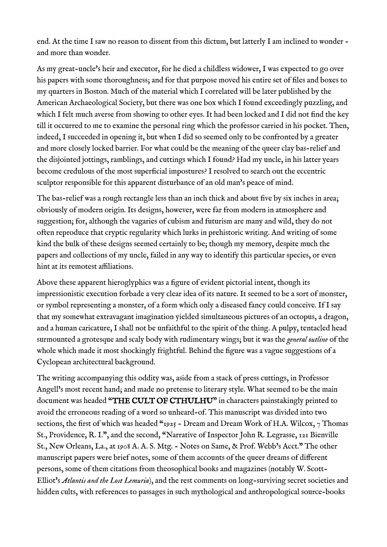end. At the time I saw no reason to dissent from this dictum, but latterly I am inclined to wonder and more than wonder.

As my great-uncle's heir and executor, for he died a childless widower, I was expected to go over his papers with some thoroughness; and for that purpose moved his entire set of files and boxes to my quarters in Boston. Much of the material which I correlated will be later published by the American Archaeological Society, but there was one box which I found exceedingly puzzling, and which I felt much averse from showing to other eyes. It had been locked and I did not fnd the key till it occurred to me to examine the personal ring which the professor carried in his pocket. Then, indeed, I succeeded in opening it, but when I did so seemed only to be confronted by a greater and more closely locked barrier. For what could be the meaning of the queer clay bas-relief and the disjointed jottings, ramblings, and cuttings which I found? Had my uncle, in his latter years become credulous of the most superfcial impostures? I resolved to search out the eccentric sculptor responsible for this apparent disturbance of an old man's peace of mind.

The bas-relief was a rough rectangle less than an inch thick and about five by six inches in area; obviously of modern origin. Its designs, however, were far from modern in atmosphere and suggestion; for, although the vagaries of cubism and futurism are many and wild, they do not often reproduce that cryptic regularity which lurks in prehistoric writing. And writing of some kind the bulk of these designs seemed certainly to be; though my memory, despite much the papers and collections of my uncle, failed in any way to identify this particular species, or even hint at its remotest affiliations.

Above these apparent hieroglyphics was a fgure of evident pictorial intent, though its impressionistic execution forbade a very clear idea of its nature. It seemed to be a sort of monster, or symbol representing a monster, of a form which only a diseased fancy could conceive. If I say that my somewhat extravagant imagination yielded simultaneous pictures of an octopus, a dragon, and a human caricature, I shall not be unfaithful to the spirit of the thing. A pulpy, tentacled head surmounted a grotesque and scaly body with rudimentary wings; but it was the *general outline* of the whole which made it most shockingly frightful. Behind the fgure was a vague suggestions of a Cyclopean architectural background.

The writing accompanying this oddity was, aside from a stack of press cuttings, in Professor Angell's most recent hand; and made no pretense to literary style. What seemed to be the main document was headed "THE CULT OF CTHULHU" in characters painstakingly printed to avoid the erroneous reading of a word so unheard-of. This manuscript was divided into two sections, the first of which was headed "1925 - Dream and Dream Work of H.A. Wilcox,  $7$  Thomas St., Providence, R. I.", and the second, "Narrative of Inspector John R. Legrasse, 121 Bienville St., New Orleans, La., at 1908 A. A. S. Mtg. - Notes on Same, & Prof. Webb's Acct." The other manuscript papers were brief notes, some of them accounts of the queer dreams of diferent persons, some of them citations from theosophical books and magazines (notably W. Scott-Elliot's *Atlantis and the Lost Lemuria*), and the rest comments on long-surviving secret societies and hidden cults, with references to passages in such mythological and anthropological source-books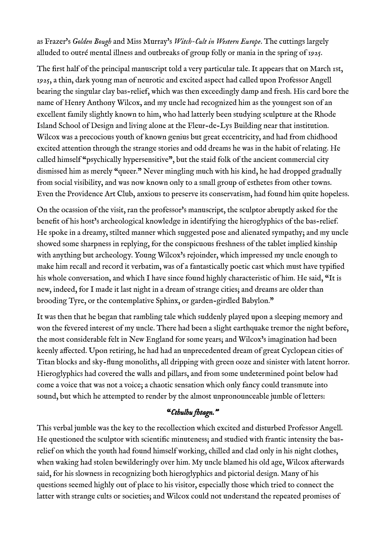as Frazer's *Golden Bough* and Miss Murray's *Witch-Cult in Western Europe*. The cuttings largely alluded to outré mental illness and outbreaks of group folly or mania in the spring of 1925.

The first half of the principal manuscript told a very particular tale. It appears that on March 1st, 1925, a thin, dark young man of neurotic and excited aspect had called upon Professor Angell bearing the singular clay bas-relief, which was then exceedingly damp and fresh. His card bore the name of Henry Anthony Wilcox, and my uncle had recognized him as the youngest son of an excellent family slightly known to him, who had latterly been studying sculpture at the Rhode Island School of Design and living alone at the Fleur-de-Lys Building near that institution. Wilcox was a precocious youth of known genius but great eccentricity, and had from chidhood excited attention through the strange stories and odd dreams he was in the habit of relating. He called himself "psychically hypersensitive", but the staid folk of the ancient commercial city dismissed him as merely "queer." Never mingling much with his kind, he had dropped gradually from social visibility, and was now known only to a small group of esthetes from other towns. Even the Providence Art Club, anxious to preserve its conservatism, had found him quite hopeless.

On the ocassion of the visit, ran the professor's manuscript, the sculptor abruptly asked for the beneft of his host's archeological knowledge in identifying the hieroglyphics of the bas-relief. He spoke in a dreamy, stilted manner which suggested pose and alienated sympathy; and my uncle showed some sharpness in replying, for the conspicuous freshness of the tablet implied kinship with anything but archeology. Young Wilcox's rejoinder, which impressed my uncle enough to make him recall and record it verbatim, was of a fantastically poetic cast which must have typifed his whole conversation, and which I have since found highly characteristic of him. He said, "It is new, indeed, for I made it last night in a dream of strange cities; and dreams are older than brooding Tyre, or the contemplative Sphinx, or garden-girdled Babylon."

It was then that he began that rambling tale which suddenly played upon a sleeping memory and won the fevered interest of my uncle. There had been a slight earthquake tremor the night before, the most considerable felt in New England for some years; and Wilcox's imagination had been keenly afected. Upon retiring, he had had an unprecedented dream of great Cyclopean cities of Titan blocks and sky-fung monoliths, all dripping with green ooze and sinister with latent horror. Hieroglyphics had covered the walls and pillars, and from some undetermined point below had come a voice that was not a voice; a chaotic sensation which only fancy could transmute into sound, but which he attempted to render by the almost unpronounceable jumble of letters:

# "*Cthulhu fhtagn."*

This verbal jumble was the key to the recollection which excited and disturbed Professor Angell. He questioned the sculptor with scientifc minuteness; and studied with frantic intensity the basrelief on which the youth had found himself working, chilled and clad only in his night clothes, when waking had stolen bewilderingly over him. My uncle blamed his old age, Wilcox afterwards said, for his slowness in recognizing both hieroglyphics and pictorial design. Many of his questions seemed highly out of place to his visitor, especially those which tried to connect the latter with strange cults or societies; and Wilcox could not understand the repeated promises of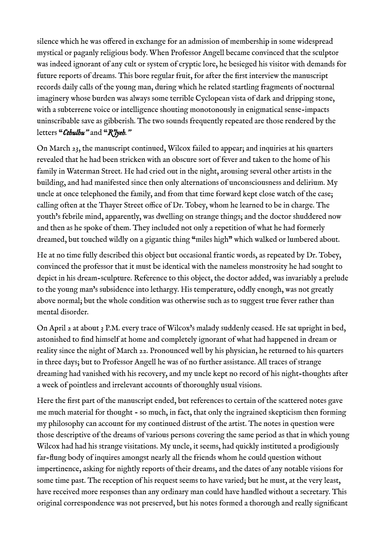silence which he was offered in exchange for an admission of membership in some widespread mystical or paganly religious body. When Professor Angell became convinced that the sculptor was indeed ignorant of any cult or system of cryptic lore, he besieged his visitor with demands for future reports of dreams. This bore regular fruit, for after the frst interview the manuscript records daily calls of the young man, during which he related startling fragments of nocturnal imaginery whose burden was always some terrible Cyclopean vista of dark and dripping stone, with a subterrene voice or intelligence shouting monotonously in enigmatical sense-impacts uninscribable save as gibberish. The two sounds frequently repeated are those rendered by the letters "*Cthulhu"* and "*R'lyeh."*

On March 23, the manuscript continued, Wilcox failed to appear; and inquiries at his quarters revealed that he had been stricken with an obscure sort of fever and taken to the home of his family in Waterman Street. He had cried out in the night, arousing several other artists in the building, and had manifested since then only alternations of unconsciousness and delirium. My uncle at once telephoned the family, and from that time forward kept close watch of the case; calling often at the Thayer Street office of Dr. Tobey, whom he learned to be in charge. The youth's febrile mind, apparently, was dwelling on strange things; and the doctor shuddered now and then as he spoke of them. They included not only a repetition of what he had formerly dreamed, but touched wildly on a gigantic thing "miles high" which walked or lumbered about.

He at no time fully described this object but occasional frantic words, as repeated by Dr. Tobey, convinced the professor that it must be identical with the nameless monstrosity he had sought to depict in his dream-sculpture. Reference to this object, the doctor added, was invariably a prelude to the young man's subsidence into lethargy. His temperature, oddly enough, was not greatly above normal; but the whole condition was otherwise such as to suggest true fever rather than mental disorder.

On April 2 at about 3 P.M. every trace of Wilcox's malady suddenly ceased. He sat upright in bed, astonished to fnd himself at home and completely ignorant of what had happened in dream or reality since the night of March 22. Pronounced well by his physician, he returned to his quarters in three days; but to Professor Angell he was of no further assistance. All traces of strange dreaming had vanished with his recovery, and my uncle kept no record of his night-thoughts after a week of pointless and irrelevant accounts of thoroughly usual visions.

Here the frst part of the manuscript ended, but references to certain of the scattered notes gave me much material for thought - so much, in fact, that only the ingrained skepticism then forming my philosophy can account for my continued distrust of the artist. The notes in question were those descriptive of the dreams of various persons covering the same period as that in which young Wilcox had had his strange visitations. My uncle, it seems, had quickly instituted a prodigiously far-fung body of inquires amongst nearly all the friends whom he could question without impertinence, asking for nightly reports of their dreams, and the dates of any notable visions for some time past. The reception of his request seems to have varied; but he must, at the very least, have received more responses than any ordinary man could have handled without a secretary. This original correspondence was not preserved, but his notes formed a thorough and really signifcant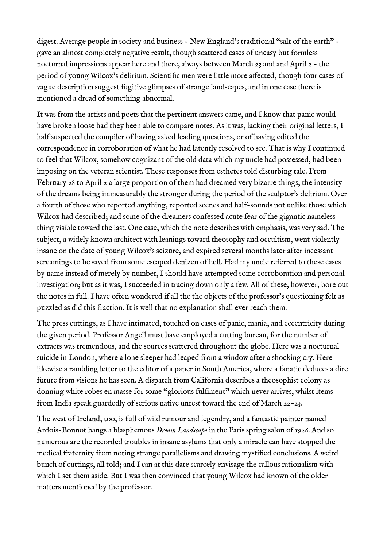digest. Average people in society and business - New England's traditional "salt of the earth" gave an almost completely negative result, though scattered cases of uneasy but formless nocturnal impressions appear here and there, always between March 23 and and April 2 - the period of young Wilcox's delirium. Scientific men were little more affected, though four cases of vague description suggest fugitive glimpses of strange landscapes, and in one case there is mentioned a dread of something abnormal.

It was from the artists and poets that the pertinent answers came, and I know that panic would have broken loose had they been able to compare notes. As it was, lacking their original letters, I half suspected the compiler of having asked leading questions, or of having edited the correspondence in corroboration of what he had latently resolved to see. That is why I continued to feel that Wilcox, somehow cognizant of the old data which my uncle had possessed, had been imposing on the veteran scientist. These responses from esthetes told disturbing tale. From February 28 to April 2 a large proportion of them had dreamed very bizarre things, the intensity of the dreams being immeasurably the stronger during the period of the sculptor's delirium. Over a fourth of those who reported anything, reported scenes and half-sounds not unlike those which Wilcox had described; and some of the dreamers confessed acute fear of the gigantic nameless thing visible toward the last. One case, which the note describes with emphasis, was very sad. The subject, a widely known architect with leanings toward theosophy and occultism, went violently insane on the date of young Wilcox's seizure, and expired several months later after incessant screamings to be saved from some escaped denizen of hell. Had my uncle referred to these cases by name instead of merely by number, I should have attempted some corroboration and personal investigation; but as it was, I succeeded in tracing down only a few. All of these, however, bore out the notes in full. I have often wondered if all the the objects of the professor's questioning felt as puzzled as did this fraction. It is well that no explanation shall ever reach them.

The press cuttings, as I have intimated, touched on cases of panic, mania, and eccentricity during the given period. Professor Angell must have employed a cutting bureau, for the number of extracts was tremendous, and the sources scattered throughout the globe. Here was a nocturnal suicide in London, where a lone sleeper had leaped from a window after a shocking cry. Here likewise a rambling letter to the editor of a paper in South America, where a fanatic deduces a dire future from visions he has seen. A dispatch from California describes a theosophist colony as donning white robes en masse for some "glorious fulfiment" which never arrives, whilst items from India speak guardedly of serious native unrest toward the end of March 22-23.

The west of Ireland, too, is full of wild rumour and legendry, and a fantastic painter named Ardois-Bonnot hangs a blasphemous *Dream Landscape* in the Paris spring salon of 1926. And so numerous are the recorded troubles in insane asylums that only a miracle can have stopped the medical fraternity from noting strange parallelisms and drawing mystifed conclusions. A weird bunch of cuttings, all told; and I can at this date scarcely envisage the callous rationalism with which I set them aside. But I was then convinced that young Wilcox had known of the older matters mentioned by the professor.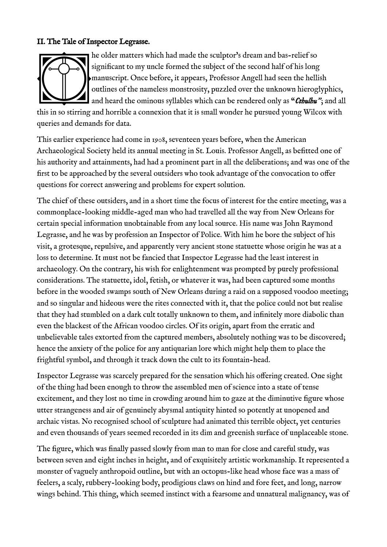### II. The Tale of Inspector Legrasse.



he older matters which had made the sculptor's dream and bas-relief so signifcant to my uncle formed the subject of the second half of his long manuscript. Once before, it appears, Professor Angell had seen the hellish outlines of the nameless monstrosity, puzzled over the unknown hieroglyphics, and heard the ominous syllables which can be rendered only as "*Cthulhu"*; and all

this in so stirring and horrible a connexion that it is small wonder he pursued young Wilcox with queries and demands for data.

This earlier experience had come in 1908, seventeen years before, when the American Archaeological Society held its annual meeting in St. Louis. Professor Angell, as beftted one of his authority and attainments, had had a prominent part in all the deliberations; and was one of the frst to be approached by the several outsiders who took advantage of the convocation to ofer questions for correct answering and problems for expert solution.

The chief of these outsiders, and in a short time the focus of interest for the entire meeting, was a commonplace-looking middle-aged man who had travelled all the way from New Orleans for certain special information unobtainable from any local source. His name was John Raymond Legrasse, and he was by profession an Inspector of Police. With him he bore the subject of his visit, a grotesque, repulsive, and apparently very ancient stone statuette whose origin he was at a loss to determine. It must not be fancied that Inspector Legrasse had the least interest in archaeology. On the contrary, his wish for enlightenment was prompted by purely professional considerations. The statuette, idol, fetish, or whatever it was, had been captured some months before in the wooded swamps south of New Orleans during a raid on a supposed voodoo meeting; and so singular and hideous were the rites connected with it, that the police could not but realise that they had stumbled on a dark cult totally unknown to them, and infnitely more diabolic than even the blackest of the African voodoo circles. Of its origin, apart from the erratic and unbelievable tales extorted from the captured members, absolutely nothing was to be discovered; hence the anxiety of the police for any antiquarian lore which might help them to place the frightful symbol, and through it track down the cult to its fountain-head.

Inspector Legrasse was scarcely prepared for the sensation which his ofering created. One sight of the thing had been enough to throw the assembled men of science into a state of tense excitement, and they lost no time in crowding around him to gaze at the diminutive figure whose utter strangeness and air of genuinely abysmal antiquity hinted so potently at unopened and archaic vistas. No recognised school of sculpture had animated this terrible object, yet centuries and even thousands of years seemed recorded in its dim and greenish surface of unplaceable stone.

The fgure, which was fnally passed slowly from man to man for close and careful study, was between seven and eight inches in height, and of exquisitely artistic workmanship. It represented a monster of vaguely anthropoid outline, but with an octopus-like head whose face was a mass of feelers, a scaly, rubbery-looking body, prodigious claws on hind and fore feet, and long, narrow wings behind. This thing, which seemed instinct with a fearsome and unnatural malignancy, was of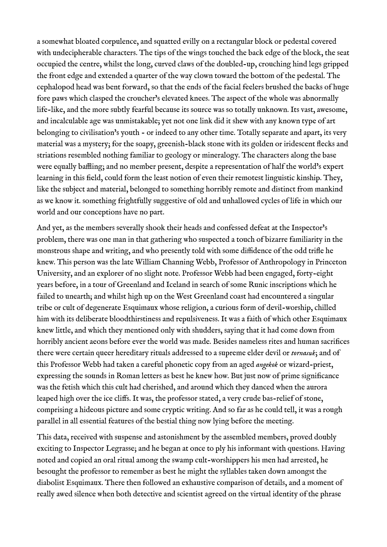a somewhat bloated corpulence, and squatted evilly on a rectangular block or pedestal covered with undecipherable characters. The tips of the wings touched the back edge of the block, the seat occupied the centre, whilst the long, curved claws of the doubled-up, crouching hind legs gripped the front edge and extended a quarter of the way clown toward the bottom of the pedestal. The cephalopod head was bent forward, so that the ends of the facial feelers brushed the backs of huge fore paws which clasped the croucher's elevated knees. The aspect of the whole was abnormally life-like, and the more subtly fearful because its source was so totally unknown. Its vast, awesome, and incalculable age was unmistakable; yet not one link did it shew with any known type of art belonging to civilisation's youth - or indeed to any other time. Totally separate and apart, its very material was a mystery; for the soapy, greenish-black stone with its golden or iridescent fecks and striations resembled nothing familiar to geology or mineralogy. The characters along the base were equally baffling; and no member present, despite a representation of half the world's expert learning in this feld, could form the least notion of even their remotest linguistic kinship. They, like the subject and material, belonged to something horribly remote and distinct from mankind as we know it. something frightfully suggestive of old and unhallowed cycles of life in which our world and our conceptions have no part.

And yet, as the members severally shook their heads and confessed defeat at the Inspector's problem, there was one man in that gathering who suspected a touch of bizarre familiarity in the monstrous shape and writing, and who presently told with some diffidence of the odd trife he knew. This person was the late William Channing Webb, Professor of Anthropology in Princeton University, and an explorer of no slight note. Professor Webb had been engaged, forty-eight years before, in a tour of Greenland and Iceland in search of some Runic inscriptions which he failed to unearth; and whilst high up on the West Greenland coast had encountered a singular tribe or cult of degenerate Esquimaux whose religion, a curious form of devil-worship, chilled him with its deliberate bloodthirstiness and repulsiveness. It was a faith of which other Esquimaux knew little, and which they mentioned only with shudders, saying that it had come down from horribly ancient aeons before ever the world was made. Besides nameless rites and human sacrifces there were certain queer hereditary rituals addressed to a supreme elder devil or *tornasuk*; and of this Professor Webb had taken a careful phonetic copy from an aged *angekok* or wizard-priest, expressing the sounds in Roman letters as best he knew how. But just now of prime significance was the fetish which this cult had cherished, and around which they danced when the aurora leaped high over the ice clifs. It was, the professor stated, a very crude bas-relief of stone, comprising a hideous picture and some cryptic writing. And so far as he could tell, it was a rough parallel in all essential features of the bestial thing now lying before the meeting.

This data, received with suspense and astonishment by the assembled members, proved doubly exciting to Inspector Legrasse; and he began at once to ply his informant with questions. Having noted and copied an oral ritual among the swamp cult-worshippers his men had arrested, he besought the professor to remember as best he might the syllables taken down amongst the diabolist Esquimaux. There then followed an exhaustive comparison of details, and a moment of really awed silence when both detective and scientist agreed on the virtual identity of the phrase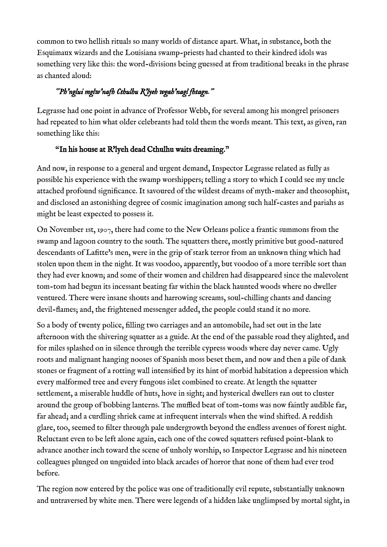common to two hellish rituals so many worlds of distance apart. What, in substance, both the Esquimaux wizards and the Louisiana swamp-priests had chanted to their kindred idols was something very like this: the word-divisions being guessed at from traditional breaks in the phrase as chanted aloud:

## *"Ph'nglui mglw'nafh Cthulhu R'lyeh wgah'nagl fhtagn."*

Legrasse had one point in advance of Professor Webb, for several among his mongrel prisoners had repeated to him what older celebrants had told them the words meant. This text, as given, ran something like this:

## "In his house at R'lyeh dead Cthulhu waits dreaming."

And now, in response to a general and urgent demand, Inspector Legrasse related as fully as possible his experience with the swamp worshippers; telling a story to which I could see my uncle attached profound signifcance. It savoured of the wildest dreams of myth-maker and theosophist, and disclosed an astonishing degree of cosmic imagination among such half-castes and pariahs as might be least expected to possess it.

On November 1st, 1907, there had come to the New Orleans police a frantic summons from the swamp and lagoon country to the south. The squatters there, mostly primitive but good-natured descendants of Laftte's men, were in the grip of stark terror from an unknown thing which had stolen upon them in the night. It was voodoo, apparently, but voodoo of a more terrible sort than they had ever known; and some of their women and children had disappeared since the malevolent tom-tom had begun its incessant beating far within the black haunted woods where no dweller ventured. There were insane shouts and harrowing screams, soul-chilling chants and dancing devil-fames; and, the frightened messenger added, the people could stand it no more.

So a body of twenty police, flling two carriages and an automobile, had set out in the late afternoon with the shivering squatter as a guide. At the end of the passable road they alighted, and for miles splashed on in silence through the terrible cypress woods where day never came. Ugly roots and malignant hanging nooses of Spanish moss beset them, and now and then a pile of dank stones or fragment of a rotting wall intensifed by its hint of morbid habitation a depression which every malformed tree and every fungous islet combined to create. At length the squatter settlement, a miserable huddle of huts, hove in sight; and hysterical dwellers ran out to cluster around the group of bobbing lanterns. The muffled beat of tom-toms was now faintly audible far, far ahead; and a curdling shriek came at infrequent intervals when the wind shifted. A reddish glare, too, seemed to flter through pale undergrowth beyond the endless avenues of forest night. Reluctant even to be left alone again, each one of the cowed squatters refused point-blank to advance another inch toward the scene of unholy worship, so Inspector Legrasse and his nineteen colleagues plunged on unguided into black arcades of horror that none of them had ever trod before.

The region now entered by the police was one of traditionally evil repute, substantially unknown and untraversed by white men. There were legends of a hidden lake unglimpsed by mortal sight, in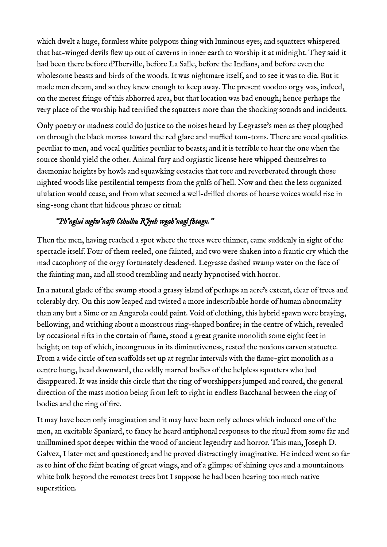which dwelt a huge, formless white polypous thing with luminous eyes; and squatters whispered that bat-winged devils few up out of caverns in inner earth to worship it at midnight. They said it had been there before d'Iberville, before La Salle, before the Indians, and before even the wholesome beasts and birds of the woods. It was nightmare itself, and to see it was to die. But it made men dream, and so they knew enough to keep away. The present voodoo orgy was, indeed, on the merest fringe of this abhorred area, but that location was bad enough; hence perhaps the very place of the worship had terrifed the squatters more than the shocking sounds and incidents.

Only poetry or madness could do justice to the noises heard by Legrasse's men as they ploughed on through the black morass toward the red glare and muffled tom-toms. There are vocal qualities peculiar to men, and vocal qualities peculiar to beasts; and it is terrible to hear the one when the source should yield the other. Animal fury and orgiastic license here whipped themselves to daemoniac heights by howls and squawking ecstacies that tore and reverberated through those nighted woods like pestilential tempests from the gulfs of hell. Now and then the less organized ululation would cease, and from what seemed a well-drilled chorus of hoarse voices would rise in sing-song chant that hideous phrase or ritual:

# *"Ph'nglui mglw'nafh Cthulhu R'lyeh wgah'nagl fhtagn."*

Then the men, having reached a spot where the trees were thinner, came suddenly in sight of the spectacle itself. Four of them reeled, one fainted, and two were shaken into a frantic cry which the mad cacophony of the orgy fortunately deadened. Legrasse dashed swamp water on the face of the fainting man, and all stood trembling and nearly hypnotised with horror.

In a natural glade of the swamp stood a grassy island of perhaps an acre's extent, clear of trees and tolerably dry. On this now leaped and twisted a more indescribable horde of human abnormality than any but a Sime or an Angarola could paint. Void of clothing, this hybrid spawn were braying, bellowing, and writhing about a monstrous ring-shaped bonfre; in the centre of which, revealed by occasional rifts in the curtain of fame, stood a great granite monolith some eight feet in height; on top of which, incongruous in its diminutiveness, rested the noxious carven statuette. From a wide circle of ten scafolds set up at regular intervals with the fame-girt monolith as a centre hung, head downward, the oddly marred bodies of the helpless squatters who had disappeared. It was inside this circle that the ring of worshippers jumped and roared, the general direction of the mass motion being from left to right in endless Bacchanal between the ring of bodies and the ring of fre.

It may have been only imagination and it may have been only echoes which induced one of the men, an excitable Spaniard, to fancy he heard antiphonal responses to the ritual from some far and unillumined spot deeper within the wood of ancient legendry and horror. This man, Joseph D. Galvez, I later met and questioned; and he proved distractingly imaginative. He indeed went so far as to hint of the faint beating of great wings, and of a glimpse of shining eyes and a mountainous white bulk beyond the remotest trees but I suppose he had been hearing too much native superstition.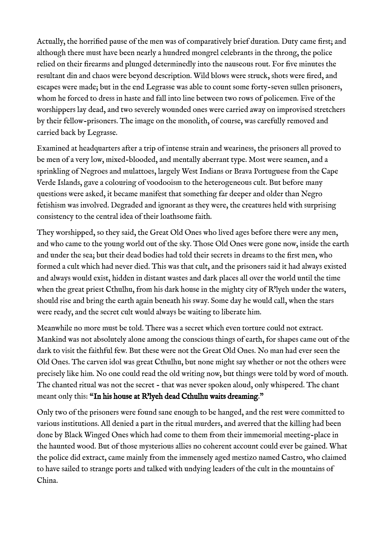Actually, the horrifed pause of the men was of comparatively brief duration. Duty came frst; and although there must have been nearly a hundred mongrel celebrants in the throng, the police relied on their frearms and plunged determinedly into the nauseous rout. For fve minutes the resultant din and chaos were beyond description. Wild blows were struck, shots were fred, and escapes were made; but in the end Legrasse was able to count some forty-seven sullen prisoners, whom he forced to dress in haste and fall into line between two rows of policemen. Five of the worshippers lay dead, and two severely wounded ones were carried away on improvised stretchers by their fellow-prisoners. The image on the monolith, of course, was carefully removed and carried back by Legrasse.

Examined at headquarters after a trip of intense strain and weariness, the prisoners all proved to be men of a very low, mixed-blooded, and mentally aberrant type. Most were seamen, and a sprinkling of Negroes and mulattoes, largely West Indians or Brava Portuguese from the Cape Verde Islands, gave a colouring of voodooism to the heterogeneous cult. But before many questions were asked, it became manifest that something far deeper and older than Negro fetishism was involved. Degraded and ignorant as they were, the creatures held with surprising consistency to the central idea of their loathsome faith.

They worshipped, so they said, the Great Old Ones who lived ages before there were any men, and who came to the young world out of the sky. Those Old Ones were gone now, inside the earth and under the sea; but their dead bodies had told their secrets in dreams to the frst men, who formed a cult which had never died. This was that cult, and the prisoners said it had always existed and always would exist, hidden in distant wastes and dark places all over the world until the time when the great priest Cthulhu, from his dark house in the mighty city of R'lyeh under the waters, should rise and bring the earth again beneath his sway. Some day he would call, when the stars were ready, and the secret cult would always be waiting to liberate him.

Meanwhile no more must be told. There was a secret which even torture could not extract. Mankind was not absolutely alone among the conscious things of earth, for shapes came out of the dark to visit the faithful few. But these were not the Great Old Ones. No man had ever seen the Old Ones. The carven idol was great Cthulhu, but none might say whether or not the others were precisely like him. No one could read the old writing now, but things were told by word of mouth. The chanted ritual was not the secret - that was never spoken aloud, only whispered. The chant meant only this: "In his house at R'lyeh dead Cthulhu waits dreaming."

Only two of the prisoners were found sane enough to be hanged, and the rest were committed to various institutions. All denied a part in the ritual murders, and averred that the killing had been done by Black Winged Ones which had come to them from their immemorial meeting-place in the haunted wood. But of those mysterious allies no coherent account could ever be gained. What the police did extract, came mainly from the immensely aged mestizo named Castro, who claimed to have sailed to strange ports and talked with undying leaders of the cult in the mountains of China.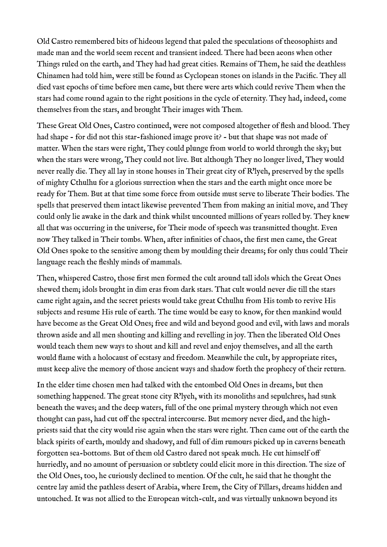Old Castro remembered bits of hideous legend that paled the speculations of theosophists and made man and the world seem recent and transient indeed. There had been aeons when other Things ruled on the earth, and They had had great cities. Remains of Them, he said the deathless Chinamen had told him, were still be found as Cyclopean stones on islands in the Pacifc. They all died vast epochs of time before men came, but there were arts which could revive Them when the stars had come round again to the right positions in the cycle of eternity. They had, indeed, come themselves from the stars, and brought Their images with Them.

These Great Old Ones, Castro continued, were not composed altogether of fesh and blood. They had shape - for did not this star-fashioned image prove it? - but that shape was not made of matter. When the stars were right, They could plunge from world to world through the sky; but when the stars were wrong, They could not live. But although They no longer lived, They would never really die. They all lay in stone houses in Their great city of R'lyeh, preserved by the spells of mighty Cthulhu for a glorious surrection when the stars and the earth might once more be ready for Them. But at that time some force from outside must serve to liberate Their bodies. The spells that preserved them intact likewise prevented Them from making an initial move, and They could only lie awake in the dark and think whilst uncounted millions of years rolled by. They knew all that was occurring in the universe, for Their mode of speech was transmitted thought. Even now They talked in Their tombs. When, after infnities of chaos, the frst men came, the Great Old Ones spoke to the sensitive among them by moulding their dreams; for only thus could Their language reach the feshly minds of mammals.

Then, whispered Castro, those frst men formed the cult around tall idols which the Great Ones shewed them; idols brought in dim eras from dark stars. That cult would never die till the stars came right again, and the secret priests would take great Cthulhu from His tomb to revive His subjects and resume His rule of earth. The time would be easy to know, for then mankind would have become as the Great Old Ones; free and wild and beyond good and evil, with laws and morals thrown aside and all men shouting and killing and revelling in joy. Then the liberated Old Ones would teach them new ways to shout and kill and revel and enjoy themselves, and all the earth would fame with a holocaust of ecstasy and freedom. Meanwhile the cult, by appropriate rites, must keep alive the memory of those ancient ways and shadow forth the prophecy of their return.

In the elder time chosen men had talked with the entombed Old Ones in dreams, but then something happened. The great stone city R'lyeh, with its monoliths and sepulchres, had sunk beneath the waves; and the deep waters, full of the one primal mystery through which not even thought can pass, had cut off the spectral intercourse. But memory never died, and the highpriests said that the city would rise again when the stars were right. Then came out of the earth the black spirits of earth, mouldy and shadowy, and full of dim rumours picked up in caverns beneath forgotten sea-bottoms. But of them old Castro dared not speak much. He cut himself of hurriedly, and no amount of persuasion or subtlety could elicit more in this direction. The size of the Old Ones, too, he curiously declined to mention. Of the cult, he said that he thought the centre lay amid the pathless desert of Arabia, where Irem, the City of Pillars, dreams hidden and untouched. It was not allied to the European witch-cult, and was virtually unknown beyond its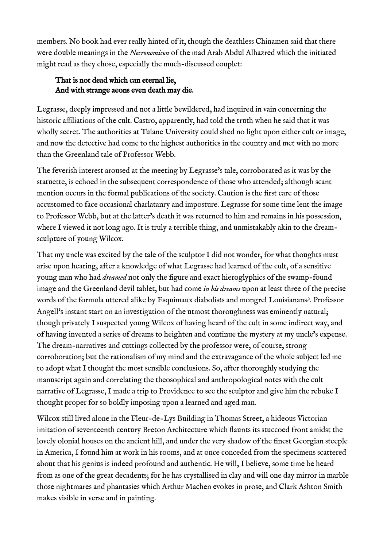members. No book had ever really hinted of it, though the deathless Chinamen said that there were double meanings in the *Necronomicon* of the mad Arab Abdul Alhazred which the initiated might read as they chose, especially the much-discussed couplet:

### That is not dead which can eternal lie, And with strange aeons even death may die.

Legrasse, deeply impressed and not a little bewildered, had inquired in vain concerning the historic affiliations of the cult. Castro, apparently, had told the truth when he said that it was wholly secret. The authorities at Tulane University could shed no light upon either cult or image, and now the detective had come to the highest authorities in the country and met with no more than the Greenland tale of Professor Webb.

The feverish interest aroused at the meeting by Legrasse's tale, corroborated as it was by the statuette, is echoed in the subsequent correspondence of those who attended; although scant mention occurs in the formal publications of the society. Caution is the frst care of those accustomed to face occasional charlatanry and imposture. Legrasse for some time lent the image to Professor Webb, but at the latter's death it was returned to him and remains in his possession, where I viewed it not long ago. It is truly a terrible thing, and unmistakably akin to the dreamsculpture of young Wilcox.

That my uncle was excited by the tale of the sculptor I did not wonder, for what thoughts must arise upon hearing, after a knowledge of what Legrasse had learned of the cult, of a sensitive young man who had *dreamed* not only the figure and exact hieroglyphics of the swamp-found image and the Greenland devil tablet, but had come *in his dreams* upon at least three of the precise words of the formula uttered alike by Esquimaux diabolists and mongrel Louisianans?. Professor Angell's instant start on an investigation of the utmost thoroughness was eminently natural; though privately I suspected young Wilcox of having heard of the cult in some indirect way, and of having invented a series of dreams to heighten and continue the mystery at my uncle's expense. The dream-narratives and cuttings collected by the professor were, of course, strong corroboration; but the rationalism of my mind and the extravagance of the whole subject led me to adopt what I thought the most sensible conclusions. So, after thoroughly studying the manuscript again and correlating the theosophical and anthropological notes with the cult narrative of Legrasse, I made a trip to Providence to see the sculptor and give him the rebuke I thought proper for so boldly imposing upon a learned and aged man.

Wilcox still lived alone in the Fleur-de-Lys Building in Thomas Street, a hideous Victorian imitation of seventeenth century Breton Architecture which faunts its stuccoed front amidst the lovely olonial houses on the ancient hill, and under the very shadow of the fnest Georgian steeple in America, I found him at work in his rooms, and at once conceded from the specimens scattered about that his genius is indeed profound and authentic. He will, I believe, some time be heard from as one of the great decadents; for he has crystallised in clay and will one day mirror in marble those nightmares and phantasies which Arthur Machen evokes in prose, and Clark Ashton Smith makes visible in verse and in painting.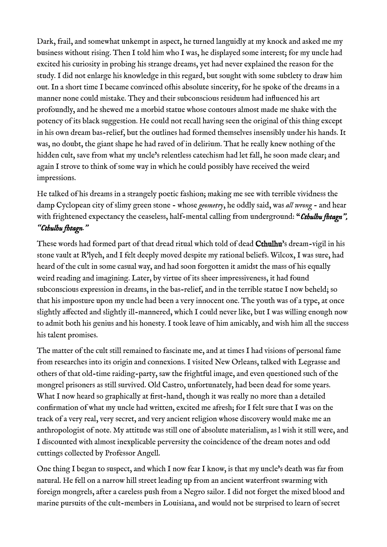Dark, frail, and somewhat unkempt in aspect, he turned languidly at my knock and asked me my business without rising. Then I told him who I was, he displayed some interest; for my uncle had excited his curiosity in probing his strange dreams, yet had never explained the reason for the study. I did not enlarge his knowledge in this regard, but sought with some subtlety to draw him out. In a short time I became convinced ofhis absolute sincerity, for he spoke of the dreams in a manner none could mistake. They and their subconscious residuum had infuenced his art profoundly, and he shewed me a morbid statue whose contours almost made me shake with the potency of its black suggestion. He could not recall having seen the original of this thing except in his own dream bas-relief, but the outlines had formed themselves insensibly under his hands. It was, no doubt, the giant shape he had raved of in delirium. That he really knew nothing of the hidden cult, save from what my uncle's relentless catechism had let fall, he soon made clear; and again I strove to think of some way in which he could possibly have received the weird impressions.

He talked of his dreams in a strangely poetic fashion; making me see with terrible vividness the damp Cyclopean city of slimy green stone - whose *geometry*, he oddly said, was *all wrong* - and hear with frightened expectancy the ceaseless, half-mental calling from underground: "*Cthulhu fhtagn*", *"Cthulhu fhtagn."*

These words had formed part of that dread ritual which told of dead Cthulhu's dream-vigil in his stone vault at R'lyeh, and I felt deeply moved despite my rational beliefs. Wilcox, I was sure, had heard of the cult in some casual way, and had soon forgotten it amidst the mass of his equally weird reading and imagining. Later, by virtue of its sheer impressiveness, it had found subconscious expression in dreams, in the bas-relief, and in the terrible statue I now beheld; so that his imposture upon my uncle had been a very innocent one. The youth was of a type, at once slightly afected and slightly ill-mannered, which I could never like, but I was willing enough now to admit both his genius and his honesty. I took leave of him amicably, and wish him all the success his talent promises.

The matter of the cult still remained to fascinate me, and at times I had visions of personal fame from researches into its origin and connexions. I visited New Orleans, talked with Legrasse and others of that old-time raiding-party, saw the frightful image, and even questioned such of the mongrel prisoners as still survived. Old Castro, unfortunately, had been dead for some years. What I now heard so graphically at frst-hand, though it was really no more than a detailed confirmation of what my uncle had written, excited me afresh; for I felt sure that I was on the track of a very real, very secret, and very ancient religion whose discovery would make me an anthropologist of note. My attitude was still one of absolute materialism, as l wish it still were, and I discounted with almost inexplicable perversity the coincidence of the dream notes and odd cuttings collected by Professor Angell.

One thing I began to suspect, and which I now fear I know, is that my uncle's death was far from natural. He fell on a narrow hill street leading up from an ancient waterfront swarming with foreign mongrels, after a careless push from a Negro sailor. I did not forget the mixed blood and marine pursuits of the cult-members in Louisiana, and would not be surprised to learn of secret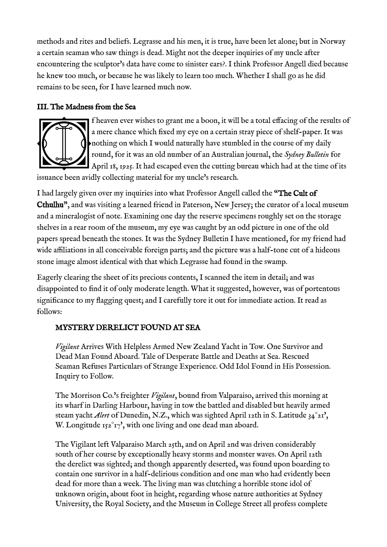methods and rites and beliefs. Legrasse and his men, it is true, have been let alone; but in Norway a certain seaman who saw things is dead. Might not the deeper inquiries of my uncle after encountering the sculptor's data have come to sinister ears?. I think Professor Angell died because he knew too much, or because he was likely to learn too much. Whether I shall go as he did remains to be seen, for I have learned much now.

#### III. The Madness from the Sea



f heaven ever wishes to grant me a boon, it will be a total efacing of the results of a mere chance which fixed my eye on a certain stray piece of shelf-paper. It was nothing on which I would naturally have stumbled in the course of my daily round, for it was an old number of an Australian journal, the *Sydney Bulletin* for April 18, 1925. It had escaped even the cutting bureau which had at the time of its

issuance been avidly collecting material for my uncle's research.

I had largely given over my inquiries into what Professor Angell called the "The Cult of Cthulhu", and was visiting a learned friend in Paterson, New Jersey; the curator of a local museum and a mineralogist of note. Examining one day the reserve specimens roughly set on the storage shelves in a rear room of the museum, my eye was caught by an odd picture in one of the old papers spread beneath the stones. It was the Sydney Bulletin I have mentioned, for my friend had wide affiliations in all conceivable foreign parts; and the picture was a half-tone cut of a hideous stone image almost identical with that which Legrasse had found in the swamp.

Eagerly clearing the sheet of its precious contents, I scanned the item in detail; and was disappointed to fnd it of only moderate length. What it suggested, however, was of portentous signifcance to my fagging quest; and I carefully tore it out for immediate action. It read as follows:

### MYSTERY DERELICT FOUND AT SEA

*Vigilant* Arrives With Helpless Armed New Zealand Yacht in Tow. One Survivor and Dead Man Found Aboard. Tale of Desperate Battle and Deaths at Sea. Rescued Seaman Refuses Particulars of Strange Experience. Odd Idol Found in His Possession. Inquiry to Follow.

The Morrison Co.'s freighter *Vigilant*, bound from Valparaiso, arrived this morning at its wharf in Darling Harbour, having in tow the battled and disabled but heavily armed steam yacht *Alert* of Dunedin, N.Z., which was sighted April 12th in S. Latitude 34°21', W. Longitude  $152^{\circ}17$ , with one living and one dead man aboard.

The Vigilant left Valparaiso March 25th, and on April 2nd was driven considerably south of her course by exceptionally heavy storms and monster waves. On April 12th the derelict was sighted; and though apparently deserted, was found upon boarding to contain one survivor in a half-delirious condition and one man who had evidently been dead for more than a week. The living man was clutching a horrible stone idol of unknown origin, about foot in height, regarding whose nature authorities at Sydney University, the Royal Society, and the Museum in College Street all profess complete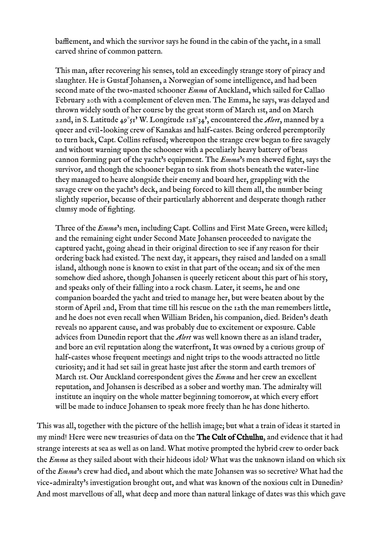bafflement, and which the survivor says he found in the cabin of the yacht, in a small carved shrine of common pattern.

This man, after recovering his senses, told an exceedingly strange story of piracy and slaughter. He is Gustaf Johansen, a Norwegian of some intelligence, and had been second mate of the two-masted schooner *Emma* of Auckland, which sailed for Callao February 20th with a complement of eleven men. The Emma, he says, was delayed and thrown widely south of her course by the great storm of March 1st, and on March 22nd, in S. Latitude 49°51' W. Longitude 128°34', encountered the *Alert*, manned by a queer and evil-looking crew of Kanakas and half-castes. Being ordered peremptorily to turn back, Capt. Collins refused; whereupon the strange crew began to fre savagely and without warning upon the schooner with a peculiarly heavy battery of brass cannon forming part of the yacht's equipment. The *Emma*'s men shewed fght, says the survivor, and though the schooner began to sink from shots beneath the water-line they managed to heave alongside their enemy and board her, grappling with the savage crew on the yacht's deck, and being forced to kill them all, the number being slightly superior, because of their particularly abhorrent and desperate though rather clumsy mode of fghting.

Three of the *Emma*'s men, including Capt. Collins and First Mate Green, were killed; and the remaining eight under Second Mate Johansen proceeded to navigate the captured yacht, going ahead in their original direction to see if any reason for their ordering back had existed. The next day, it appears, they raised and landed on a small island, although none is known to exist in that part of the ocean; and six of the men somehow died ashore, though Johansen is queerly reticent about this part of his story, and speaks only of their falling into a rock chasm. Later, it seems, he and one companion boarded the yacht and tried to manage her, but were beaten about by the storm of April 2nd, From that time till his rescue on the 12th the man remembers little, and he does not even recall when William Briden, his companion, died. Briden's death reveals no apparent cause, and was probably due to excitement or exposure. Cable advices from Dunedin report that the *Alert* was well known there as an island trader, and bore an evil reputation along the waterfront, It was owned by a curious group of half-castes whose frequent meetings and night trips to the woods attracted no little curiosity; and it had set sail in great haste just after the storm and earth tremors of March 1st. Our Auckland correspondent gives the *Emma* and her crew an excellent reputation, and Johansen is described as a sober and worthy man. The admiralty will institute an inquiry on the whole matter beginning tomorrow, at which every efort will be made to induce Johansen to speak more freely than he has done hitherto.

This was all, together with the picture of the hellish image; but what a train of ideas it started in my mind! Here were new treasuries of data on the The Cult of Cthulhu, and evidence that it had strange interests at sea as well as on land. What motive prompted the hybrid crew to order back the *Emma* as they sailed about with their hideous idol? What was the unknown island on which six of the *Emma*'s crew had died, and about which the mate Johansen was so secretive? What had the vice-admiralty's investigation brought out, and what was known of the noxious cult in Dunedin? And most marvellous of all, what deep and more than natural linkage of dates was this which gave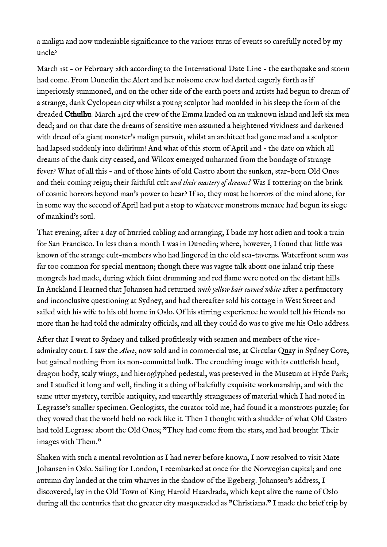a malign and now undeniable signifcance to the various turns of events so carefully noted by my uncle?

March 1st - or February 28th according to the International Date Line - the earthquake and storm had come. From Dunedin the Alert and her noisome crew had darted eagerly forth as if imperiously summoned, and on the other side of the earth poets and artists had begun to dream of a strange, dank Cyclopean city whilst a young sculptor had moulded in his sleep the form of the dreaded Cthulhu. March 23rd the crew of the Emma landed on an unknown island and left six men dead; and on that date the dreams of sensitive men assumed a heightened vividness and darkened with dread of a giant monster's malign pursuit, whilst an architect had gone mad and a sculptor had lapsed suddenly into delirium! And what of this storm of April 2nd - the date on which all dreams of the dank city ceased, and Wilcox emerged unharmed from the bondage of strange fever? What of all this - and of those hints of old Castro about the sunken, star-born Old Ones and their coming reign; their faithful cult *and their mastery of dreams?* Was I tottering on the brink of cosmic horrors beyond man's power to bear? If so, they must be horrors of the mind alone, for in some way the second of April had put a stop to whatever monstrous menace had begun its siege of mankind's soul.

That evening, after a day of hurried cabling and arranging, I bade my host adieu and took a train for San Francisco. In less than a month I was in Dunedin; where, however, I found that little was known of the strange cult-members who had lingered in the old sea-taverns. Waterfront scum was far too common for special mentnon; though there was vague talk about one inland trip these mongrels had made, during which faint drumming and red fame were noted on the distant hills. In Auckland I learned that Johansen had returned *with yellow hair turned white* after a perfunctory and inconclusive questioning at Sydney, and had thereafter sold his cottage in West Street and sailed with his wife to his old home in Oslo. Of his stirring experience he would tell his friends no more than he had told the admiralty officials, and all they could do was to give me his Oslo address.

After that I went to Sydney and talked proftlessly with seamen and members of the viceadmiralty court. I saw the *Alert*, now sold and in commercial use, at Circular Quay in Sydney Cove, but gained nothing from its non-committal bulk. The crouching image with its cuttlefsh head, dragon body, scaly wings, and hieroglyphed pedestal, was preserved in the Museum at Hyde Park; and I studied it long and well, finding it a thing of balefully exquisite workmanship, and with the same utter mystery, terrible antiquity, and unearthly strangeness of material which I had noted in Legrasse's smaller specimen. Geologists, the curator told me, had found it a monstrous puzzle; for they vowed that the world held no rock like it. Then I thought with a shudder of what Old Castro had told Legrasse about the Old Ones; "They had come from the stars, and had brought Their images with Them."

Shaken with such a mental revolution as I had never before known, I now resolved to visit Mate Johansen in Oslo. Sailing for London, I reembarked at once for the Norwegian capital; and one autumn day landed at the trim wharves in the shadow of the Egeberg. Johansen's address, I discovered, lay in the Old Town of King Harold Haardrada, which kept alive the name of Oslo during all the centuries that the greater city masqueraded as "Christiana." I made the brief trip by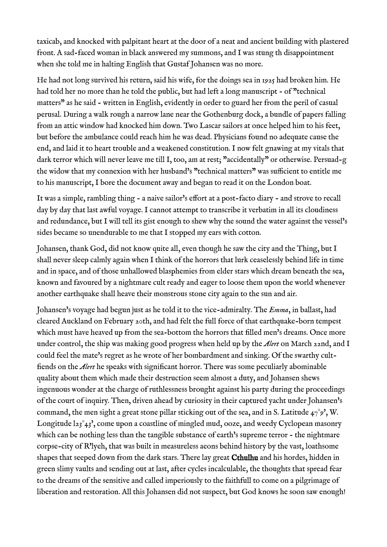taxicab, and knocked with palpitant heart at the door of a neat and ancient building with plastered front. A sad-faced woman in black answered my summons, and I was stung th disappointment when she told me in halting English that Gustaf Johansen was no more.

He had not long survived his return, said his wife, for the doings sea in 1925 had broken him. He had told her no more than he told the public, but had left a long manuscript - of "technical matters" as he said - written in English, evidently in order to guard her from the peril of casual perusal. During a walk rough a narrow lane near the Gothenburg dock, a bundle of papers falling from an attic window had knocked him down. Two Lascar sailors at once helped him to his feet, but before the ambulance could reach him he was dead. Physicians found no adequate cause the end, and laid it to heart trouble and a weakened constitution. I now felt gnawing at my vitals that dark terror which will never leave me till I, too, am at rest; "accidentally" or otherwise. Persuad-g the widow that my connexion with her husband's "technical matters" was sufficient to entitle me to his manuscript, I bore the document away and began to read it on the London boat.

It was a simple, rambling thing - a naive sailor's effort at a post-facto diary - and strove to recall day by day that last awful voyage. I cannot attempt to transcribe it verbatim in all its cloudiness and redundance, but I will tell its gist enough to shew why the sound the water against the vessel's sides became so unendurable to me that I stopped my ears with cotton.

Johansen, thank God, did not know quite all, even though he saw the city and the Thing, but I shall never sleep calmly again when I think of the horrors that lurk ceaselessly behind life in time and in space, and of those unhallowed blasphemies from elder stars which dream beneath the sea, known and favoured by a nightmare cult ready and eager to loose them upon the world whenever another earthquake shall heave their monstrous stone city again to the sun and air.

Johansen's voyage had begun just as he told it to the vice-admiralty. The *Emma*, in ballast, had cleared Auckland on February 20th, and had felt the full force of that earthquake-born tempest which must have heaved up from the sea-bottom the horrors that flled men's dreams. Once more under control, the ship was making good progress when held up by the *Alert* on March 22nd, and I could feel the mate's regret as he wrote of her bombardment and sinking. Of the swarthy cultfends on the *Alert* he speaks with signifcant horror. There was some peculiarly abominable quality about them which made their destruction seem almost a duty, and Johansen shews ingenuous wonder at the charge of ruthlessness brought against his party during the proceedings of the court of inquiry. Then, driven ahead by curiosity in their captured yacht under Johansen's command, the men sight a great stone pillar sticking out of the sea, and in S. Latitude  $47°9'$ , W. Longitude  $l_{23}^{\circ}$ 43', come upon a coastline of mingled mud, ooze, and weedy Cyclopean masonry which can be nothing less than the tangible substance of earth's supreme terror - the nightmare corpse-city of R'lyeh, that was built in measureless aeons behind history by the vast, loathsome shapes that seeped down from the dark stars. There lay great **Cthulhu** and his hordes, hidden in green slimy vaults and sending out at last, after cycles incalculable, the thoughts that spread fear to the dreams of the sensitive and called imperiously to the faithfull to come on a pilgrimage of liberation and restoration. All this Johansen did not suspect, but God knows he soon saw enough!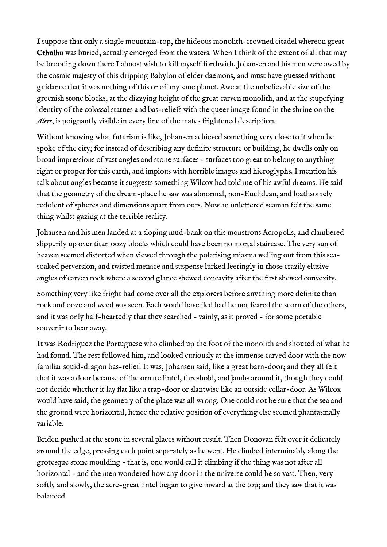I suppose that only a single mountain-top, the hideous monolith-crowned citadel whereon great Cthulhu was buried, actually emerged from the waters. When I think of the extent of all that may be brooding down there I almost wish to kill myself forthwith. Johansen and his men were awed by the cosmic majesty of this dripping Babylon of elder daemons, and must have guessed without guidance that it was nothing of this or of any sane planet. Awe at the unbelievable size of the greenish stone blocks, at the dizzying height of the great carven monolith, and at the stupefying identity of the colossal statues and bas-reliefs with the queer image found in the shrine on the *Alert*, is poignantly visible in every line of the mates frightened description.

Without knowing what futurism is like, Johansen achieved something very close to it when he spoke of the city; for instead of describing any defnite structure or building, he dwells only on broad impressions of vast angles and stone surfaces - surfaces too great to belong to anything right or proper for this earth, and impious with horrible images and hieroglyphs. I mention his talk about angles because it suggests something Wilcox had told me of his awful dreams. He said that the geometry of the dream-place he saw was abnormal, non-Euclidean, and loathsomely redolent of spheres and dimensions apart from ours. Now an unlettered seaman felt the same thing whilst gazing at the terrible reality.

Johansen and his men landed at a sloping mud-bank on this monstrous Acropolis, and clambered slipperily up over titan oozy blocks which could have been no mortal staircase. The very sun of heaven seemed distorted when viewed through the polarising miasma welling out from this seasoaked perversion, and twisted menace and suspense lurked leeringly in those crazily elusive angles of carven rock where a second glance shewed concavity after the first shewed convexity.

Something very like fright had come over all the explorers before anything more definite than rock and ooze and weed was seen. Each would have fed had he not feared the scorn of the others, and it was only half-heartedly that they searched - vainly, as it proved - for some portable souvenir to bear away.

It was Rodriguez the Portuguese who climbed up the foot of the monolith and shouted of what he had found. The rest followed him, and looked curiously at the immense carved door with the now familiar squid-dragon bas-relief. It was, Johansen said, like a great barn-door; and they all felt that it was a door because of the ornate lintel, threshold, and jambs around it, though they could not decide whether it lay flat like a trap-door or slantwise like an outside cellar-door. As Wilcox would have said, the geometry of the place was all wrong. One could not be sure that the sea and the ground were horizontal, hence the relative position of everything else seemed phantasmally variable.

Briden pushed at the stone in several places without result. Then Donovan felt over it delicately around the edge, pressing each point separately as he went. He climbed interminably along the grotesque stone moulding - that is, one would call it climbing if the thing was not after all horizontal - and the men wondered how any door in the universe could be so vast. Then, very softly and slowly, the acre-great lintel began to give inward at the top; and they saw that it was balauced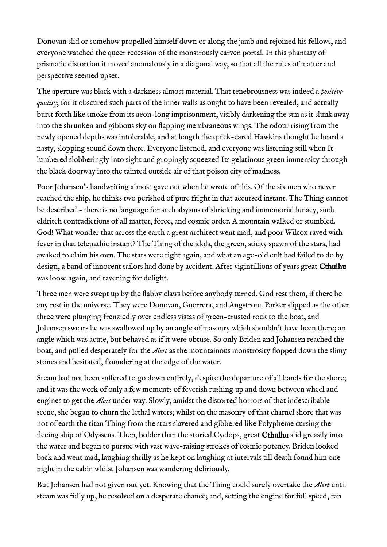Donovan slid or somehow propelled himself down or along the jamb and rejoined his fellows, and everyone watched the queer recession of the monstrously carven portal. In this phantasy of prismatic distortion it moved anomalously in a diagonal way, so that all the rules of matter and perspective seemed upset.

The aperture was black with a darkness almost material. That tenebrousness was indeed a *positive quality*; for it obscured such parts of the inner walls as ought to have been revealed, and actually burst forth like smoke from its aeon-long imprisonment, visibly darkening the sun as it slunk away into the shrunken and gibbous sky on fapping membraneous wings. The odour rising from the newly opened depths was intolerable, and at length the quick-eared Hawkins thought he heard a nasty, slopping sound down there. Everyone listened, and everyone was listening still when It lumbered slobberingly into sight and gropingly squeezed Its gelatinous green immensity through the black doorway into the tainted outside air of that poison city of madness.

Poor Johansen's handwriting almost gave out when he wrote of this. Of the six men who never reached the ship, he thinks two perished of pure fright in that accursed instant. The Thing cannot be described - there is no language for such abysms of shrieking and immemorial lunacy, such eldritch contradictions of all matter, force, and cosmic order. A mountain walked or stumbled. God! What wonder that across the earth a great architect went mad, and poor Wilcox raved with fever in that telepathic instant? The Thing of the idols, the green, sticky spawn of the stars, had awaked to claim his own. The stars were right again, and what an age-old cult had failed to do by design, a band of innocent sailors had done by accident. After vigintillions of years great Cthulhu was loose again, and ravening for delight.

Three men were swept up by the fabby claws before anybody turned. God rest them, if there be any rest in the universe. They were Donovan, Guerrera, and Angstrom. Parker slipped as the other three were plunging frenziedly over endless vistas of green-crusted rock to the boat, and Johansen swears he was swallowed up by an angle of masonry which shouldn't have been there; an angle which was acute, but behaved as if it were obtuse. So only Briden and Johansen reached the boat, and pulled desperately for the *Alert* as the mountainous monstrosity fopped down the slimy stones and hesitated, foundering at the edge of the water.

Steam had not been sufered to go down entirely, despite the departure of all hands for the shore; and it was the work of only a few moments of feverish rushing up and down between wheel and engines to get the *Alert* under way. Slowly, amidst the distorted horrors of that indescribable scene, she began to churn the lethal waters; whilst on the masonry of that charnel shore that was not of earth the titan Thing from the stars slavered and gibbered like Polypheme cursing the fleeing ship of Odysseus. Then, bolder than the storied Cyclops, great Cthulhu slid greasily into the water and began to pursue with vast wave-raising strokes of cosmic potency. Briden looked back and went mad, laughing shrilly as he kept on laughing at intervals till death found him one night in the cabin whilst Johansen was wandering deliriously.

But Johansen had not given out yet. Knowing that the Thing could surely overtake the *Alert* until steam was fully up, he resolved on a desperate chance; and, setting the engine for full speed, ran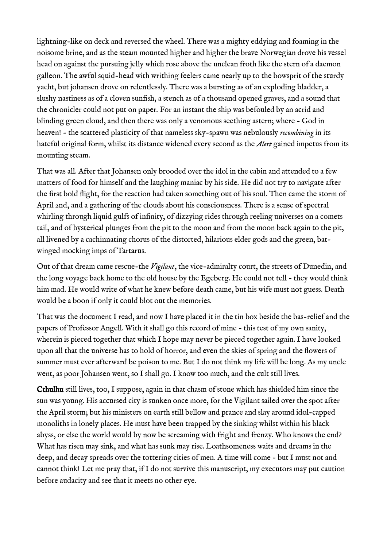lightning-like on deck and reversed the wheel. There was a mighty eddying and foaming in the noisome brine, and as the steam mounted higher and higher the brave Norwegian drove his vessel head on against the pursuing jelly which rose above the unclean froth like the stern of a daemon galleon. The awful squid-head with writhing feelers came nearly up to the bowsprit of the sturdy yacht, but johansen drove on relentlessly. There was a bursting as of an exploding bladder, a slushy nastiness as of a cloven sunfsh, a stench as of a thousand opened graves, and a sound that the chronicler could not put on paper. For an instant the ship was befouled by an acrid and blinding green cloud, and then there was only a venomous seething astern; where - God in heaven! - the scattered plasticity of that nameless sky-spawn was nebulously *recombining* in its hateful original form, whilst its distance widened every second as the *Alert* gained impetus from its mounting steam.

That was all. After that Johansen only brooded over the idol in the cabin and attended to a few matters of food for himself and the laughing maniac by his side. He did not try to navigate after the frst bold fight, for the reaction had taken something out of his soul. Then came the storm of April 2nd, and a gathering of the clouds about his consciousness. There is a sense of spectral whirling through liquid gulfs of infnity, of dizzying rides through reeling universes on a comets tail, and of hysterical plunges from the pit to the moon and from the moon back again to the pit, all livened by a cachinnating chorus of the distorted, hilarious elder gods and the green, batwinged mocking imps of Tartarus.

Out of that dream came rescue-the *Vigilant*, the vice-admiralty court, the streets of Dunedin, and the long voyage back home to the old house by the Egeberg. He could not tell - they would think him mad. He would write of what he knew before death came, but his wife must not guess. Death would be a boon if only it could blot out the memories.

That was the document I read, and now I have placed it in the tin box beside the bas-relief and the papers of Professor Angell. With it shall go this record of mine - this test of my own sanity, wherein is pieced together that which I hope may never be pieced together again. I have looked upon all that the universe has to hold of horror, and even the skies of spring and the fowers of summer must ever afterward be poison to me. But I do not think my life will be long. As my uncle went, as poor Johansen went, so I shall go. I know too much, and the cult still lives.

Cthulhu still lives, too, I suppose, again in that chasm of stone which has shielded him since the sun was young. His accursed city is sunken once more, for the Vigilant sailed over the spot after the April storm; but his ministers on earth still bellow and prance and slay around idol-capped monoliths in lonely places. He must have been trapped by the sinking whilst within his black abyss, or else the world would by now be screaming with fright and frenzy. Who knows the end? What has risen may sink, and what has sunk may rise. Loathsomeness waits and dreams in the deep, and decay spreads over the tottering cities of men. A time will come - but I must not and cannot think! Let me pray that, if I do not survive this manuscript, my executors may put caution before audacity and see that it meets no other eye.